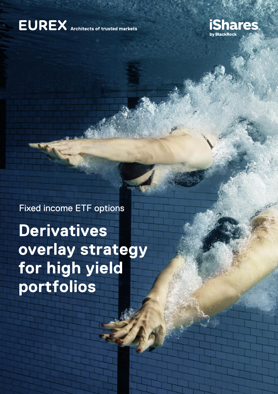### **EUREX** Architects of trusted markets



### Fixed income ETF options

**Derivatives overlay strategy for high yield portfolios**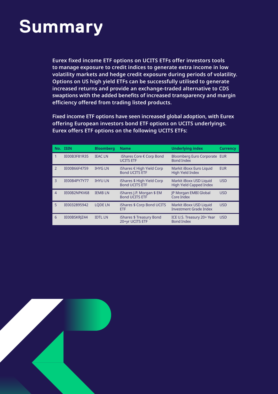### **Summary**

**Eurex fixed income ETF options on UCITS ETFs offer investors tools to manage exposure to credit indices to generate extra income in low volatility markets and hedge credit exposure during periods of volatility. Options on US high yield ETFs can be successfully utilised to generate increased returns and provide an exchange-traded alternative to CDS swaptions with the added benefits of increased transparency and margin efficiency offered from trading listed products.**

**Fixed income ETF options have seen increased global adoption, with Eurex offering European investors bond ETF options on UCITS underlyings. Eurex offers ETF options on the following UCITS ETFs:**

|                | No. ISIN     | <b>Bloomberg</b> | <b>Name</b>                                          | <b>Underlying index</b>                                   | <b>Currency</b> |
|----------------|--------------|------------------|------------------------------------------------------|-----------------------------------------------------------|-----------------|
|                | IE00B3F81R35 | <b>IEACLN</b>    | iShares Core € Corp Bond<br><b>UCITS ETF</b>         | Bloomberg Euro Corporate EUR<br><b>Bond Index</b>         |                 |
| $\overline{2}$ | IE00B66F4759 | <b>IHYG LN</b>   | iShares $€$ High Yield Corp<br><b>Bond UCITS ETF</b> | Markit iBoxx Euro Liquid<br><b>High Yield Index</b>       | <b>EUR</b>      |
| 3              | IE00B4PY7Y77 | <b>IHYU LN</b>   | iShares \$ High Yield Corp<br><b>Bond UCITS ETF</b>  | Markit iBoxx USD Liquid<br><b>High Yield Capped Index</b> | <b>USD</b>      |
| $\overline{4}$ | IE00B2NPKV68 | <b>IEMBLN</b>    | iShares J.P. Morgan \$ EM<br><b>Bond UCITS ETF</b>   | <b>IP Morgan EMBI Global</b><br>Core Index                | <b>USD</b>      |
| 5              | IE0032895942 | <b>LODE LN</b>   | iShares \$ Corp Bond UCITS<br><b>ETF</b>             | Markit iBoxx USD Liquid<br><b>Investment Grade Index</b>  | <b>USD</b>      |
| 6              | IE00BSKRIZ44 | <b>IDTL LN</b>   | iShares \$ Treasury Bond<br>20+yr UCITS ETF          | ICE U.S. Treasury 20+ Year<br><b>Bond Index</b>           | <b>USD</b>      |

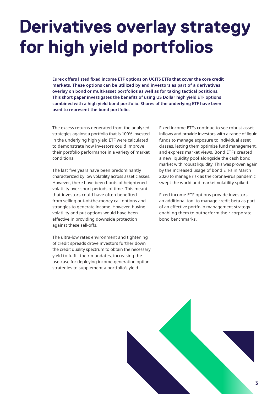### **Derivatives overlay strategy for high yield portfolios**

**Eurex offers listed fixed income ETF options on UCITS ETFs that cover the core credit markets. These options can be utilized by end investors as part of a derivatives overlay on bond or multi-asset portfolios as well as for taking tactical positions. This short paper investigates the benefits of using US Dollar high yield ETF options combined with a high yield bond portfolio. Shares of the underlying ETF have been used to represent the bond portfolio.**

The excess returns generated from the analyzed strategies against a portfolio that is 100% invested in the underlying high yield ETF were calculated to demonstrate how investors could improve their portfolio performance in a variety of market conditions.

The last five years have been predominantly characterized by low volatility across asset classes. However, there have been bouts of heightened volatility over short periods of time. This meant that investors could have often benefited from selling out-of-the-money call options and strangles to generate income. However, buying volatility and put options would have been effective in providing downside protection against these sell-offs.

The ultra-low rates environment and tightening of credit spreads drove investors further down the credit quality spectrum to obtain the necessary yield to fulfill their mandates, increasing the use-case for deploying income-generating option strategies to supplement a portfolio's yield.

Fixed income ETFs continue to see robust asset inflows and provide investors with a range of liquid funds to manage exposure to individual asset classes, letting them optimize fund management, and express market views. Bond ETFs created a new liquidity pool alongside the cash bond market with robust liquidity. This was proven again by the increased usage of bond ETFs in March 2020 to manage risk as the coronavirus pandemic swept the world and market volatility spiked.

Fixed income ETF options provide investors an additional tool to manage credit beta as part of an effective portfolio management strategy enabling them to outperform their corporate bond benchmarks.

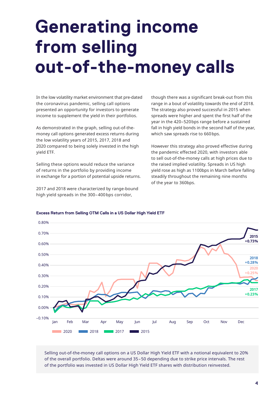## **Generating income from selling out-of-the-money calls**

In the low volatility market environment that pre-dated the coronavirus pandemic, selling call options presented an opportunity for investors to generate income to supplement the yield in their portfolios.

As demonstrated in the graph, selling out-of-themoney call options generated excess returns during the low volatility years of 2015, 2017, 2018 and 2020 compared to being solely invested in the high yield ETF.

Selling these options would reduce the variance of returns in the portfolio by providing income in exchange for a portion of potential upside returns.

2017 and 2018 were characterized by range-bound high yield spreads in the 300–400bps corridor,

though there was a significant break-out from this range in a bout of volatility towards the end of 2018. The strategy also proved successful in 2015 when spreads were higher and spent the first half of the year in the 420–520bps range before a sustained fall in high yield bonds in the second half of the year, which saw spreads rise to 660bps.

However this strategy also proved effective during the pandemic effected 2020, with investors able to sell out-of-the-money calls at high prices due to the raised implied volatility. Spreads in US high yield rose as high as 1100bps in March before falling steadily throughout the remaining nine months of the year to 360bps.



#### **Excess Return from Selling OTM Calls in a US Dollar High Yield ETF**

Selling out-of-the-money call options on a US Dollar High Yield ETF with a notional equivalent to 20% of the overall portfolio. Deltas were around 35–50 depending due to strike price intervals. The rest of the portfolio was invested in US Dollar High Yield ETF shares with distribution reinvested.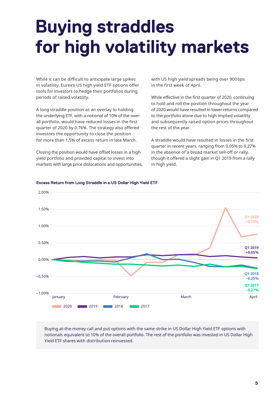## **Buying straddles for high volatility markets**

While it can be difficult to anticipate large spikes in volatility, Eurex's US high yield ETF options offer tools for investors to hedge their portfolios during periods of raised volatility.

A long straddle position as an overlay to holding the underlying ETF, with a notional of 10% of the overall portfolio, would have reduced losses in the first quarter of 2020 by 0.76%. The strategy also offered investors the opportunity to close the position for more than 1.5% of excess return in late March.

Closing the position would have offset losses in a high yield portfolio and provided capital to invest into markets with large price dislocations and opportunities, with US high yield spreads being over 900bps in the first week of April.

While effective in the first quarter of 2020, continuing to hold and roll the position throughout the year of 2020 would have resulted in lower returns compared to the portfolio alone due to high implied volatility and subsequently raised option prices throughout the rest of the year.

A straddle would have resulted in losses in the first quarter in recent years, ranging from 0.05% to 0.27% in the absence of a broad market sell-off or rally, though it offered a slight gain in Q1 2019 from a rally in high yield.



#### **Excess Return from Long Straddle in a US Dollar High Yield ETF**

Buying at-the-money call and put options with the same strike in US Dollar High Yield ETF options with notionals equivalent to 10% of the overall portfolio. The rest of the portfolio was invested in US Dollar High Yield ETF shares with distribution reinvested.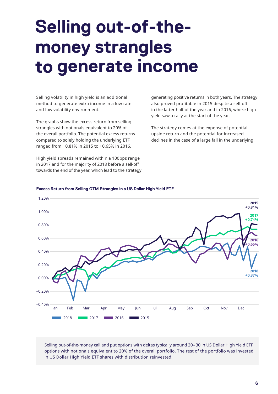### **Selling out-of-themoney strangles to generate income**

Selling volatility in high yield is an additional method to generate extra income in a low rate and low volatility environment.

The graphs show the excess return from selling strangles with notionals equivalent to 20% of the overall portfolio. The potential excess returns compared to solely holding the underlying ETF ranged from +0.81% in 2015 to +0.65% in 2016.

High yield spreads remained within a 100bps range in 2017 and for the majority of 2018 before a sell-off towards the end of the year, which lead to the strategy generating positive returns in both years. The strategy also proved profitable in 2015 despite a sell-off in the latter half of the year and in 2016, where high yield saw a rally at the start of the year.

The strategy comes at the expense of potential upside return and the potential for increased declines in the case of a large fall in the underlying.



#### **Excess Return from Selling OTM Strangles in a US Dollar High Yield ETF**

Selling out-of-the-money call and put options with deltas typically around 20–30 in US Dollar High Yield ETF options with notionals equivalent to 20% of the overall portfolio. The rest of the portfolio was invested in US Dollar High Yield ETF shares with distribution reinvested.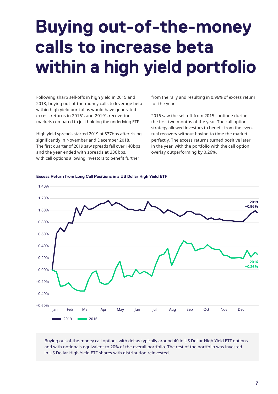## **Buying out-of-the-money calls to increase beta within a high yield portfolio**

Following sharp sell-offs in high yield in 2015 and 2018, buying out-of-the-money calls to leverage beta within high yield portfolios would have generated excess returns in 2016's and 2019's recovering markets compared to just holding the underlying ETF.

High yield spreads started 2019 at 537bps after rising significantly in November and December 2018. The first quarter of 2019 saw spreads fall over 140bps and the year ended with spreads at 336bps, with call options allowing investors to benefit further

from the rally and resulting in 0.96% of excess return for the year.

2016 saw the sell-off from 2015 continue during the first two months of the year. The call option strategy allowed investors to benefit from the eventual recovery without having to time the market perfectly. The excess returns turned positive later in the year, with the portfolio with the call option overlay outperforming by 0.26%.



#### **Excess Return from Long Call Positions in a US Dollar High Yield ETF**

Buying out-of-the-money call options with deltas typically around 40 in US Dollar High Yield ETF options and with notionals equivalent to 20% of the overall portfolio. The rest of the portfolio was invested in US Dollar High Yield ETF shares with distribution reinvested.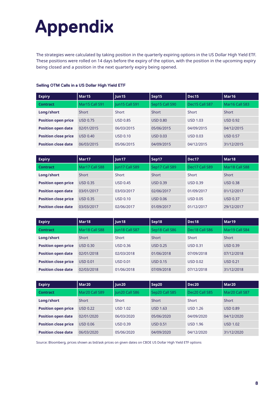# **Appendix**

The strategies were calculated by taking position in the quarterly expiring options in the US Dollar High Yield ETF. These positions were rolled on 14 days before the expiry of the option, with the position in the upcoming expiry being closed and a position in the next quarterly expiry being opened.

| <b>Expiry</b>               | Mar <sub>15</sub> | un15                  | Sep15           | Dec <sub>15</sub> | Mar <sub>16</sub> |
|-----------------------------|-------------------|-----------------------|-----------------|-------------------|-------------------|
| <b>Contract</b>             | Mar15 Call S91    | <b>Iun15 Call S91</b> | Sep15 Call S90  | Dec15 Call S87    | Mar16 Call S83    |
| Long/short                  | Short             | Short                 | Short           | Short             | Short             |
| <b>Position open price</b>  | USD 0.75          | <b>USD 0.85</b>       | USD 0.80        | <b>USD 1.03</b>   | <b>USD 0.92</b>   |
| <b>Position open date</b>   | 02/01/2015        | 06/03/2015            | 05/06/2015      | 04/09/2015        | 04/12/2015        |
| <b>Position close price</b> | <b>USD 0.40</b>   | <b>USD 0.10</b>       | <b>USD 0.03</b> | <b>USD 0.03</b>   | <b>USD 0.57</b>   |
| <b>Position close date</b>  | 06/03/2015        | 05/06/2015            | 04/09/2015      | 04/12/2015        | 31/12/2015        |

#### **Selling OTM Calls in a US Dollar High Yield ETF**

| <b>Expiry</b>               | Mar <sub>17</sub>                  | Jun <sub>17</sub> | Sep17           | Dec17           | Mar <sub>18</sub> |
|-----------------------------|------------------------------------|-------------------|-----------------|-----------------|-------------------|
| Contract                    | Mar17 Call S88                     | Jun17 Call S89    | Sep17 Call S89  | Dec17 Call S89  | Mar18 Call S88    |
| Long/short                  | Short                              | Short             | <b>Short</b>    | Short           | Short             |
| <b>Position open price</b>  | <b>USD 0.35</b><br><b>USD 0.45</b> |                   | <b>USD 0.39</b> | <b>USD 0.39</b> | <b>USD 0.38</b>   |
| <b>Position open date</b>   | 03/01/2017                         | 03/03/2017        | 02/06/2017      | 01/09/2017      | 01/12/2017        |
| <b>Position close price</b> | USD 0.35                           | <b>USD 0.10</b>   | <b>USD 0.06</b> | <b>USD 0.05</b> | <b>USD 0.37</b>   |
| <b>Position close date</b>  | 03/03/2017                         | 02/06/2017        | 01/09/2017      | 01/12/2017      | 29/12/2017        |

| <b>Expiry</b>               | Mar <sub>18</sub>           | Sep18<br>lun <sub>18</sub> |                 | Dec18           | Mar <sub>19</sub> |  |
|-----------------------------|-----------------------------|----------------------------|-----------------|-----------------|-------------------|--|
| <b>Contract</b>             | Mar18 Call S88              | Jun18 Call S87             | Sep18 Call S86  | Dec18 Call S86  | Mar19 Call S84    |  |
| Long/short                  | Short                       | Short                      | <b>Short</b>    | Short           | Short             |  |
| <b>Position open price</b>  | USD 0.30<br><b>USD 0.36</b> |                            | <b>USD 0.25</b> | <b>USD 0.31</b> | <b>USD 0.39</b>   |  |
| <b>Position open date</b>   | 02/01/2018                  | 02/03/2018                 | 01/06/2018      | 07/09/2018      | 07/12/2018        |  |
| <b>Position close price</b> | <b>USD 0.01</b>             | <b>USD 0.01</b>            | <b>USD 0.15</b> | <b>USD 0.02</b> | <b>USD 0.21</b>   |  |
| <b>Position close date</b>  | 02/03/2018                  | 01/06/2018                 | 07/09/2018      | 07/12/2018      | 31/12/2018        |  |

| <b>Expiry</b>               | Mar <sub>20</sub> | Jun20<br>Sep20  |                 | Dec20           | Mar <sub>20</sub> |  |
|-----------------------------|-------------------|-----------------|-----------------|-----------------|-------------------|--|
| <b>Contract</b>             | Mar20 Call S89    | Jun20 Call S86  | Sep20 Call S85  | Dec20 Call S85  | Mar20 Call S87    |  |
| Long/short                  | Short             | Short           | <b>Short</b>    | Short           | Short             |  |
| <b>Position open price</b>  | <b>USD 0.22</b>   | <b>USD 1.02</b> | <b>USD 1.63</b> | <b>USD 1.26</b> | <b>USD 0.89</b>   |  |
| <b>Position open date</b>   | 02/01/2020        | 06/03/2020      | 05/06/2020      | 04/09/2020      | 04/12/2020        |  |
| <b>Position close price</b> | <b>USD 0.06</b>   | <b>USD 0.39</b> | USD 0.51        | <b>USD 1.96</b> | <b>USD 1.02</b>   |  |
| <b>Position close date</b>  | 06/03/2020        | 05/06/2020      | 04/09/2020      | 04/12/2020      | 31/12/2020        |  |

Source: Bloomberg, prices shown as bid/ask prices on given dates on CBOE US Dollar High Yield ETF options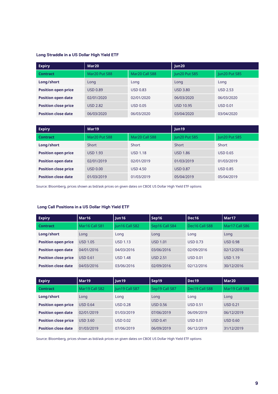#### **Long Straddle in a US Dollar High Yield ETF**

| <b>Expiry</b>               | Mar <sub>20</sub> |                 | Jun20            |                 |
|-----------------------------|-------------------|-----------------|------------------|-----------------|
| <b>Contract</b>             | Mar20 Put S88     | Mar20 Call S88  | Jun20 Put S85    | Jun20 Put S85   |
| Long/short                  | Long              | Long            | Long             | Long            |
| <b>Position open price</b>  | <b>USD 0.89</b>   | <b>USD 0.83</b> | <b>USD 3.80</b>  | <b>USD 2.53</b> |
| <b>Position open date</b>   | 02/01/2020        | 02/01/2020      | 06/03/2020       | 06/03/2020      |
| <b>Position close price</b> | <b>USD 2.82</b>   | <b>USD 0.05</b> | <b>USD 10.95</b> | <b>USD 0.01</b> |
| <b>Position close date</b>  | 06/03/2020        | 06/03/2020      | 03/04/2020       | 03/04/2020      |

| <b>Expiry</b>               | Mar <sub>19</sub> |                 | Jun19           |                 |
|-----------------------------|-------------------|-----------------|-----------------|-----------------|
| <b>Contract</b>             | Mar20 Put S88     | Mar20 Call S88  | Jun20 Put S85   | Jun20 Put S85   |
| Long/short                  | Short             | Short           | Short           | Short           |
| <b>Position open price</b>  | <b>USD 1.93</b>   | <b>USD 1.18</b> | <b>USD 1.86</b> | <b>USD 0.65</b> |
| <b>Position open date</b>   | 02/01/2019        | 02/01/2019      | 01/03/2019      | 01/03/2019      |
| <b>Position close price</b> | <b>USD 0.00</b>   | <b>USD 4.50</b> | <b>USD 0.87</b> | <b>USD 0.85</b> |
| <b>Position close date</b>  | 01/03/2019        | 01/03/2019      | 05/04/2019      | 05/04/2019      |

Source: Bloomberg, prices shown as bid/ask prices on given dates on CBOE US Dollar High Yield ETF options

#### **Long Call Positions in a US Dollar High Yield ETF**

| <b>Expiry</b>               | Mar16           | Sep16<br>lun16  |                 | Dec16           | Mar <sub>17</sub> |  |
|-----------------------------|-----------------|-----------------|-----------------|-----------------|-------------------|--|
| <b>Contract</b>             | Mar16 Call S81  | Jun16 Call S82  | Sep16 Call S84  | Dec16 Call S88  | Mar17 Call S86    |  |
| Long/short                  | Long            | Long            | Long            | Long            | Long              |  |
| <b>Position open price</b>  | <b>USD 1.05</b> | <b>USD 1.13</b> | <b>USD 1.01</b> | <b>USD 0.73</b> | <b>USD 0.98</b>   |  |
| <b>Position open date</b>   | 04/01/2016      | 04/03/2016      | 03/06/2016      | 02/09/2016      | 02/12/2016        |  |
| <b>Position close price</b> | <b>USD 0.61</b> | <b>USD 1.48</b> | <b>USD 2.51</b> | <b>USD 0.01</b> | <b>USD 1.19</b>   |  |
| <b>Position close date</b>  | 04/03/2016      | 03/06/2016      | 02/09/2016      | 02/12/2016      | 30/12/2016        |  |

| <b>Expiry</b>               | Mar <sub>19</sub> | Sep19<br> un19  |                 | Dec <sub>19</sub> | Mar20           |  |
|-----------------------------|-------------------|-----------------|-----------------|-------------------|-----------------|--|
| <b>Contract</b>             | Mar19 Call S82    | un19 Call S87   | Sep19 Call S87  | Dec19 Call S88    | Mar19 Call S88  |  |
| Long/short                  | Long              | Long            | Long            | Long              | Long            |  |
| <b>Position open price</b>  | <b>USD 0.64</b>   | <b>USD 0.28</b> | <b>USD 0.56</b> | <b>USD 0.51</b>   | <b>USD 0.21</b> |  |
| <b>Position open date</b>   | 02/01/2019        | 01/03/2019      | 07/06/2019      | 06/09/2019        | 06/12/2019      |  |
| <b>Position close price</b> | <b>USD 3.60</b>   | USD 0.02        | <b>USD 0.41</b> | <b>USD 0.01</b>   | <b>USD 0.60</b> |  |
| <b>Position close date</b>  | 01/03/2019        | 07/06/2019      | 06/09/2019      | 06/12/2019        | 31/12/2019      |  |

Source: Bloomberg, prices shown as bid/ask prices on given dates on CBOE US Dollar High Yield ETF options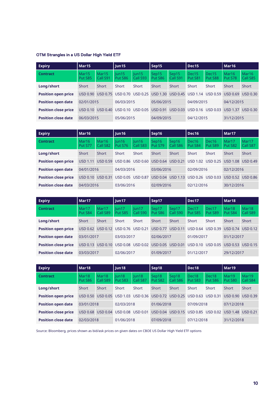#### **OTM Strangles in a US Dollar High Yield ETF**

| <b>Expiry</b>               | Mar <sub>15</sub>            |                               | Jun15            |                   | Sep15            |                   | Dec15            |                              | Mar <sub>16</sub>            |                               |
|-----------------------------|------------------------------|-------------------------------|------------------|-------------------|------------------|-------------------|------------------|------------------------------|------------------------------|-------------------------------|
| <b>Contract</b>             | Mar <sub>15</sub><br>Put S85 | Mar <sub>15</sub><br>Call S91 | lun15<br>Put S86 | un15 <br>Call S93 | Sep15<br>Put S86 | Sep15<br>Call S91 | Dec15<br>Put S81 | Dec <sub>15</sub><br>Put S88 | Mar <sub>16</sub><br>Put S78 | Mar <sub>16</sub><br>Call S85 |
| Long/short                  | Short                        | Short                         | Short            | Short             | Short            | Short             | Short            | Short                        | Short                        | Short                         |
| <b>Position open price</b>  | USD 0.90                     | USD 0.75                      | USD 0.70         | <b>USD 0.25</b>   | <b>USD 1.30</b>  | <b>USD 0.45</b>   |                  | USD 1.14 USD 0.59            | USD 0.69                     | USD 0.30                      |
| <b>Position open date</b>   | 02/01/2015                   |                               | 06/03/2015       |                   | 05/06/2015       |                   | 04/09/2015       |                              | 04/12/2015                   |                               |
| <b>Position close price</b> | USD 0.10                     | <b>USD 0.40</b>               | USD 0.10         | <b>USD 0.05</b>   | <b>USD 0.91</b>  | <b>USD 0.03</b>   | <b>USD 0.16</b>  | USD 0.03                     | <b>USD 1.37</b>              | USD 0.30                      |
| <b>Position close date</b>  | 06/03/2015                   |                               | 05/06/2015       |                   | 04/09/2015       |                   | 04/12/2015       |                              | 31/12/2015                   |                               |

| <b>Expiry</b>               | Mar <sub>16</sub>            |                               | Jun16                   |                   | Sep16            |                   | Dec16                        |                              | Mar <sub>17</sub> |                   |
|-----------------------------|------------------------------|-------------------------------|-------------------------|-------------------|------------------|-------------------|------------------------------|------------------------------|-------------------|-------------------|
| <b>Contract</b>             | Mar <sub>16</sub><br>Put S77 | Mar <sub>16</sub><br>Call S82 | un16 <br><b>Put S76</b> | lun16<br>Call S83 | Sep16<br>Put S79 | Sep16<br>Call S86 | Dec <sub>16</sub><br>Put S84 | Dec <sub>16</sub><br>Put S89 | Mar17<br>Put S82  | Mar17<br>Call S87 |
| Long/short                  | Short                        | Short                         | Short                   | Short             | <b>Short</b>     | Short             | Short                        | Short                        | Short             | <b>Short</b>      |
| <b>Position open price</b>  | <b>USD 1.11</b>              | <b>USD 0.59</b>               |                         | USD 0.86 USD 0.60 | <b>USD 0.64</b>  | <b>USD 0.21</b>   | USD 1.02                     | <b>USD 0.25</b>              | <b>USD 1.08</b>   | USD 0.49          |
| <b>Position open date</b>   | 04/01/2016                   |                               | 04/03/2016              |                   | 03/06/2016       |                   | 02/09/2016                   |                              | 02/12/2016        |                   |
| <b>Position close price</b> | USD 0.10                     | <b>USD 0.31</b>               |                         | USD 0.05 USD 0.87 | <b>USD 0.04</b>  | <b>USD 1.13</b>   |                              | USD 0.26 USD 0.03            | USD 0.52 USD 0.86 |                   |
| <b>Position close date</b>  | 04/03/2016                   |                               | 03/06/2016              |                   | 02/09/2016       |                   | 02/12/2016                   |                              | 30/12/2016        |                   |

| <b>Expiry</b>               | Mar17            |                   | un17              |                   | Sep17            |                   | Dec17            |                  | Mar <sub>18</sub> |                               |
|-----------------------------|------------------|-------------------|-------------------|-------------------|------------------|-------------------|------------------|------------------|-------------------|-------------------------------|
| <b>Contract</b>             | Mar17<br>Put S84 | Mar17<br>Call S89 | un17 <br>Put S85  | lun17<br>Call S90 | Sep17<br>Put S86 | Sep17<br>Call S90 | Dec17<br>Put S85 | Dec17<br>Put S89 | Mar18<br>Put S84  | Mar <sub>18</sub><br>Call S89 |
| Long/short                  | Short            | Short             | Short             | Short             | Short            | Short             | Short            | Short            | Short             | Short                         |
| <b>Position open price</b>  | USD 0.62         | USD 0.12          | USD 0.76 USD 0.21 |                   | <b>USD 0.77</b>  | USD 0.11          | <b>USD 0.64</b>  | <b>USD 0.39</b>  | USD 0.74          | USD 0.12                      |
| <b>Position open date</b>   | 03/01/2017       |                   | 03/03/2017        |                   | 02/06/2017       |                   | 01/09/2017       |                  | 01/12/2017        |                               |
| <b>Position close price</b> | USD 0.13         | <b>USD 0.10</b>   | <b>USD 0.08</b>   | <b>USD 0.02</b>   | <b>USD 0.05</b>  | <b>USD 0.01</b>   | USD 0.10         | USD 0.05         | <b>USD 0.53</b>   | <b>USD 0.15</b>               |
| <b>Position close date</b>  | 03/03/2017       |                   | 02/06/2017        |                   | 01/09/2017       |                   | 01/12/2017       |                  | 29/12/2017        |                               |

| <b>Expiry</b>               | Mar <sub>18</sub>            |                               | Jun18            |                   | Sep18            |                   | Dec18            |                              | Mar <sub>19</sub> |                   |
|-----------------------------|------------------------------|-------------------------------|------------------|-------------------|------------------|-------------------|------------------|------------------------------|-------------------|-------------------|
| <b>Contract</b>             | Mar <sub>18</sub><br>Put S86 | Mar <sub>18</sub><br>Call S89 | lun18<br>Put S83 | un18 <br>Call S87 | Sep18<br>Put S82 | Sep18<br>Call S86 | Dec18<br>Put S83 | Dec <sub>18</sub><br>Put S86 | Mar19<br>Put S80  | Mar19<br>Call S84 |
| Long/short                  | Short                        | Short                         | Short            | Short             | Short            | Short             | Short            | Short                        | Short             | Short             |
| <b>Position open price</b>  | USD 0.50                     | USD 0.05                      | USD 1.03         | USD 0.36          | <b>USD 0.72</b>  | <b>USD 0.25</b>   | USD 0.63         | <b>USD 0.31</b>              | <b>USD 0.90</b>   | <b>USD 0.39</b>   |
| <b>Position open date</b>   | 03/01/2018                   |                               | 02/03/2018       |                   | 01/06/2018       |                   | 07/09/2018       |                              | 07/12/2018        |                   |
| <b>Position close price</b> | USD 0.68                     | USD 0.04                      | USD 0.08         | <b>USD 0.01</b>   | <b>USD 0.04</b>  | <b>USD 0.15</b>   | <b>USD 0.85</b>  | <b>USD 0.02</b>              | <b>USD 1.48</b>   | USD 0.21          |
| <b>Position close date</b>  | 02/03/2018                   |                               | 01/06/2018       |                   | 07/09/2018       |                   | 07/12/2018       |                              | 31/12/2018        |                   |

Source: Bloomberg, prices shown as bid/ask prices on given dates on CBOE US Dollar High Yield ETF options